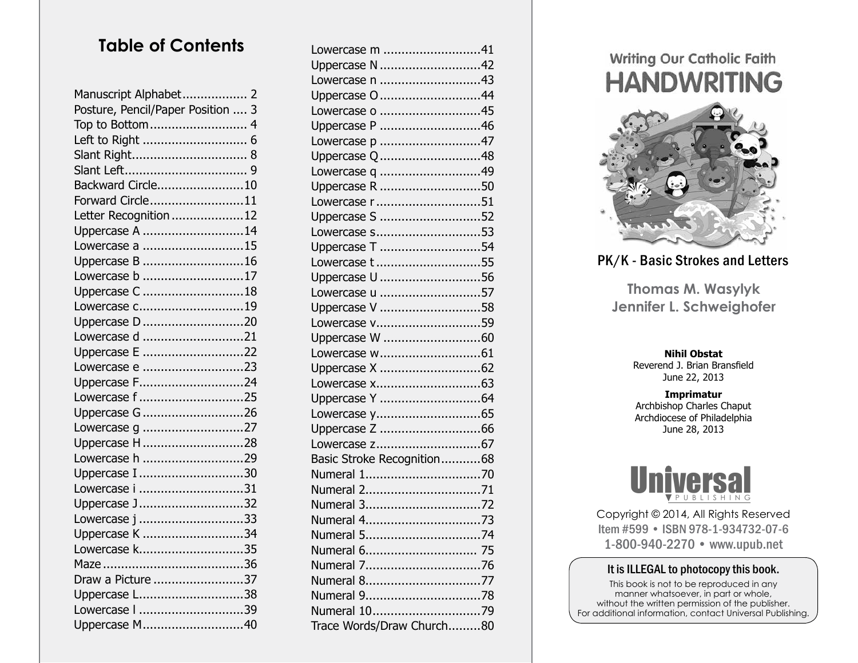## **Table of Contents**

| Manuscript Alphabet 2             |
|-----------------------------------|
| Posture, Pencil/Paper Position  3 |
| Top to Bottom 4                   |
|                                   |
|                                   |
|                                   |
| Backward Circle10                 |
| Forward Circle11                  |
| Letter Recognition 12             |
| Uppercase A 14                    |
| Lowercase a 15                    |
| Uppercase B 16                    |
| Lowercase b 17                    |
| Uppercase C 18                    |
| Lowercase c19                     |
| Uppercase D 20                    |
| Lowercase d 21                    |
| Uppercase E 22                    |
| Lowercase e 23                    |
| Uppercase F24                     |
| Lowercase f 25                    |
| Uppercase G 26                    |
| Lowercase g 27                    |
| Uppercase H28                     |
| Lowercase h 29                    |
| Uppercase I 30                    |
| Lowercase i 31                    |
| Uppercase J32                     |
| Lowercase j 33                    |
| Uppercase K 34                    |
| Lowercase k35                     |
|                                   |
| Draw a Picture 37                 |
| Uppercase L38                     |
| Lowercase   39                    |
| Uppercase M40                     |

| Lowercase m 41             |
|----------------------------|
| Uppercase N 42             |
| Lowercase n 43             |
| Uppercase O 44             |
| Lowercase o 45             |
| Uppercase P 46             |
| Lowercase p 47             |
| Uppercase Q 48             |
| Lowercase q 49             |
| Uppercase R 50             |
| Lowercase r 51             |
| Uppercase S 52             |
| Lowercase s53              |
| Uppercase T 54             |
| Lowercase t 55             |
| Uppercase U 56             |
| Lowercase u 57             |
| Uppercase V 58             |
| Lowercase v59              |
| Uppercase W 60             |
|                            |
|                            |
|                            |
|                            |
|                            |
| Uppercase Z 66             |
|                            |
| Basic Stroke Recognition68 |
| Numeral 170                |
| Numeral 271                |
| Numeral 372                |
| Numeral 473                |
| Numeral 574                |
| Numeral 6 75               |
|                            |
| Numeral 877                |
|                            |
| Numeral 1079               |
| Trace Words/Draw Church80  |

# Writing Our Catholic Faith **HANDWRITING**



### PK/K - Basic Strokes and Letters

**Thomas M. Wasylyk Jennifer L. Schweighofer**

#### **Nihil Obstat**

Reverend J. Brian Bransfield June 22, 2013

**Imprimatur** Archbishop Charles Chaput Archdiocese of Philadelphia June 28, 2013



Copyright © 2014, All Rights Reserved Item #599 • ISBN 978-1-934732-07-6 1-800-940-2270 • www.upub.net

### It is ILLEGAL to photocopy this book.

This book is not to be reproduced in any manner whatsoever, in part or whole, without the written permission of the publisher. For additional information, contact Universal Publishing.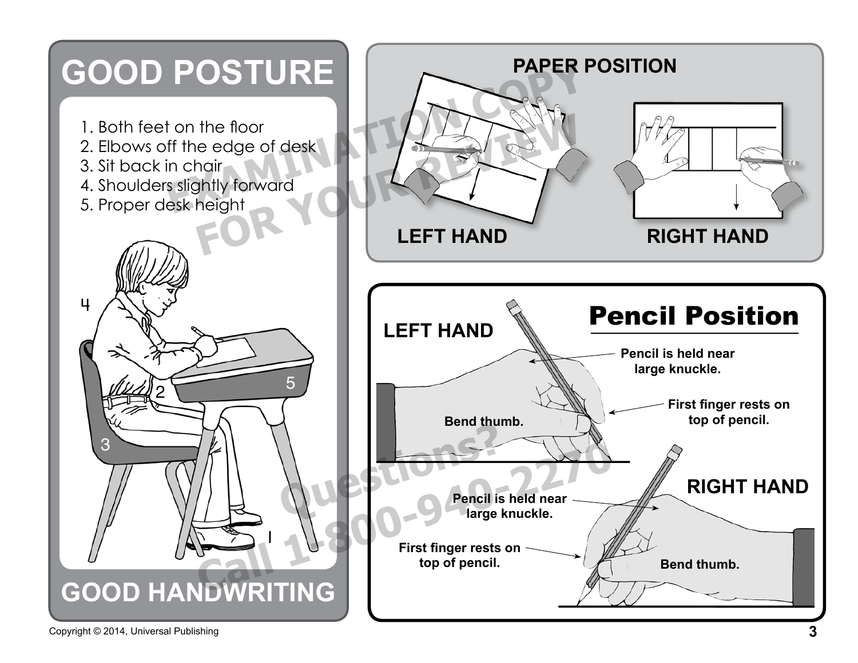

Copyright © 2014, Universal Publishing **3**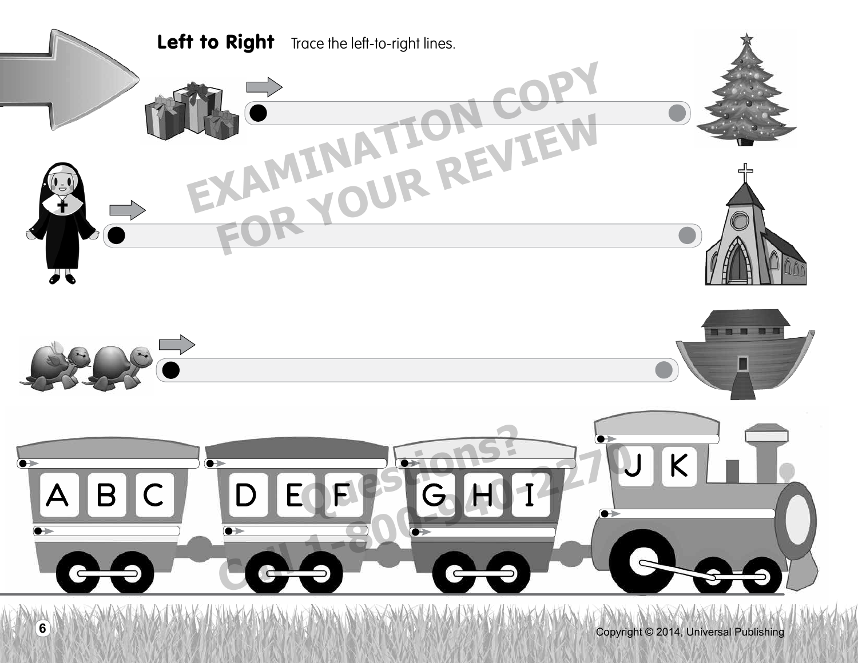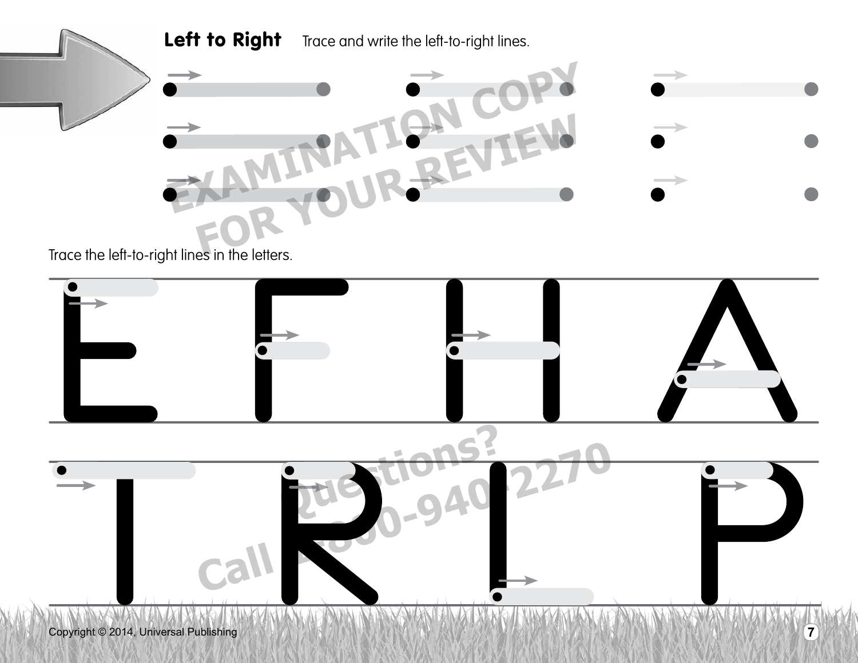

Trace the left-to-right lines in the letters.

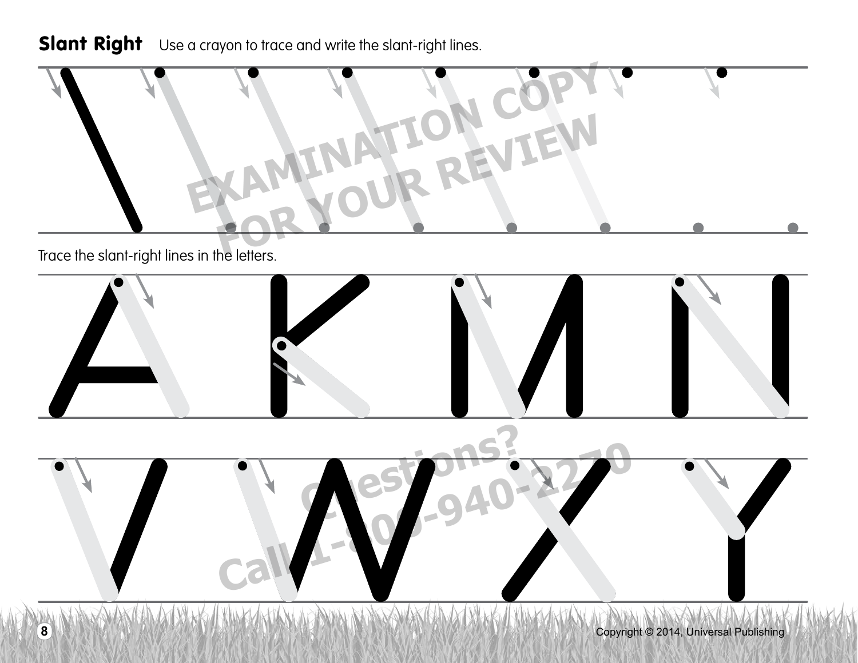## Slant Right Use a crayon to trace and write the slant-right lines.

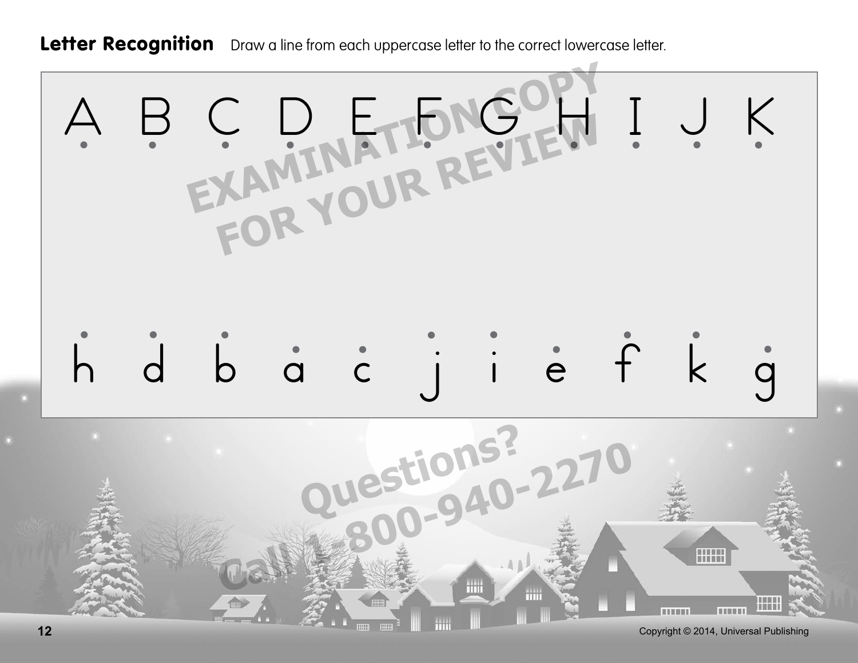Letter Recognition Draw a line from each uppercase letter to the correct lowercase letter.

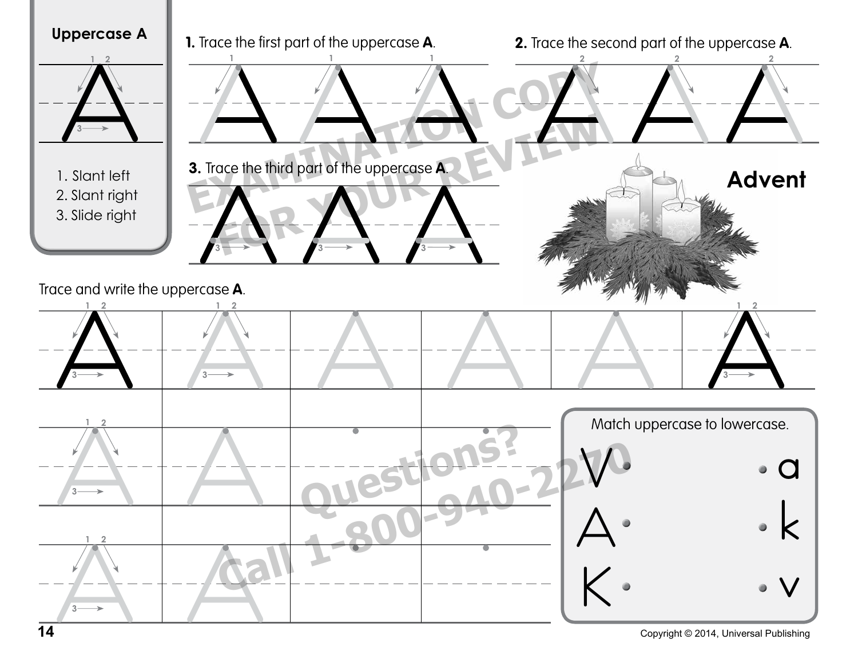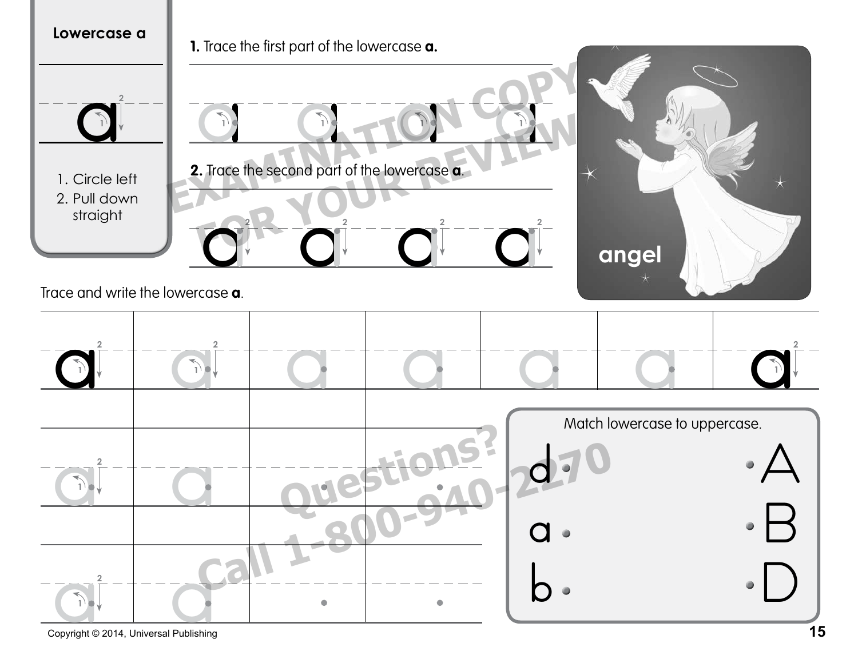

Copyright © 2014, Universal Publishing **15**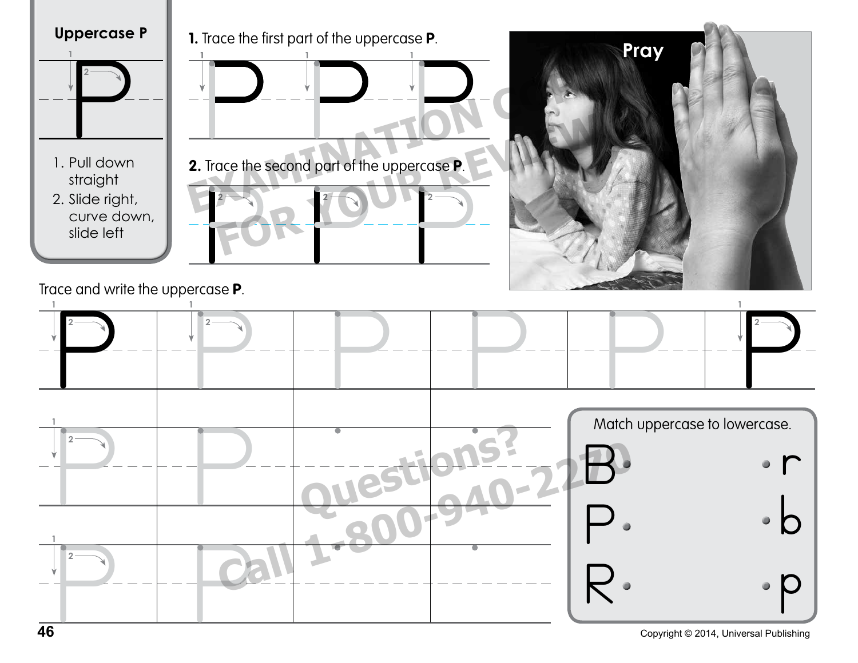

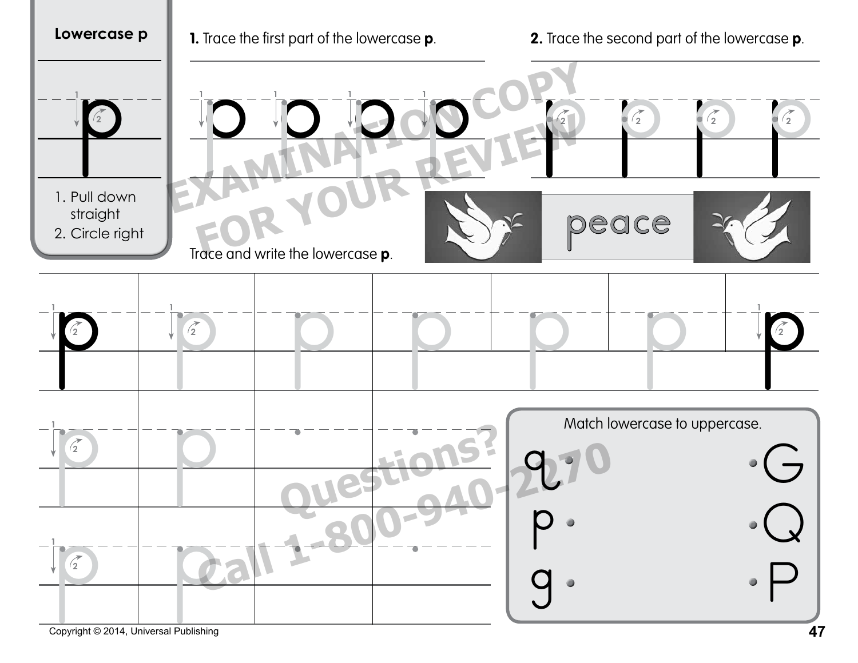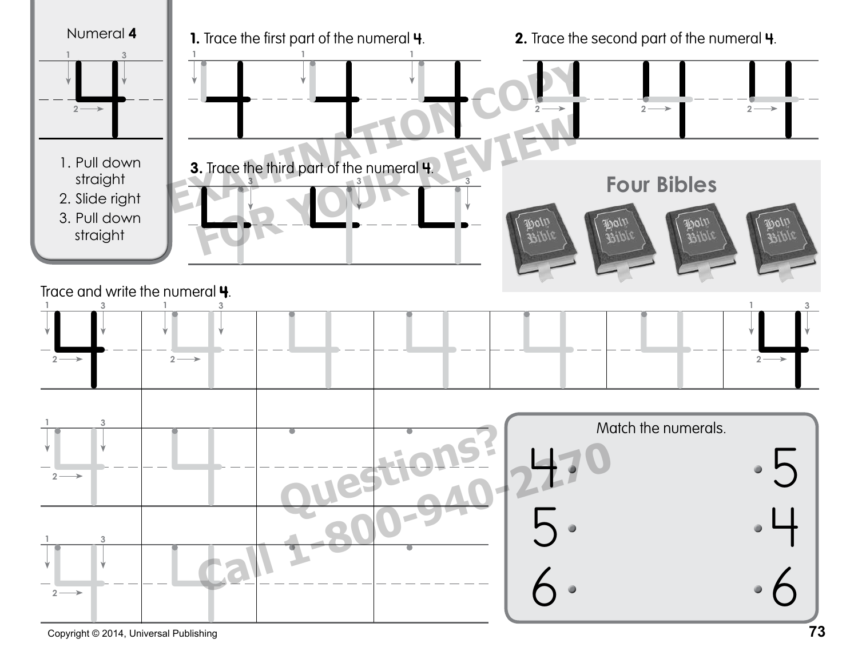